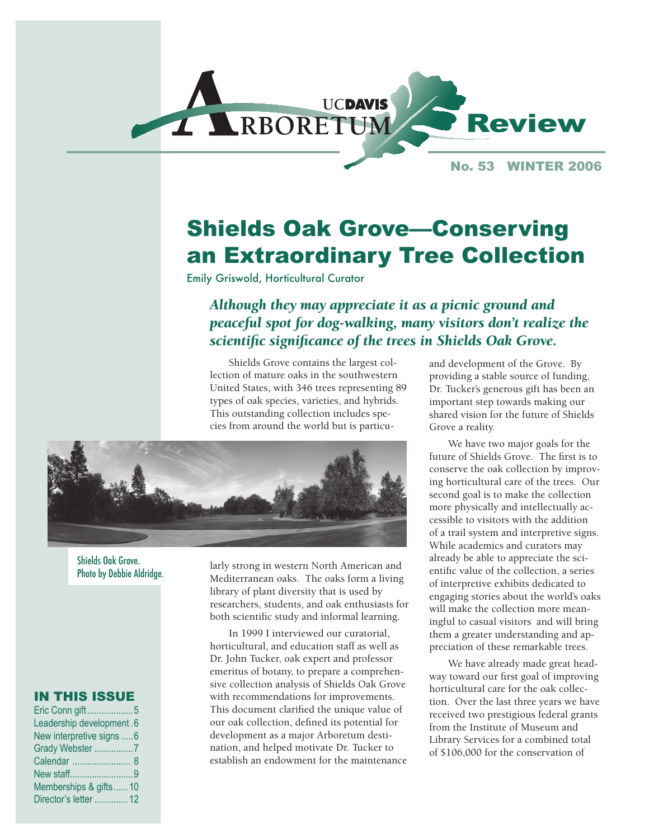

No. 53 WINTER 2006

# Shields Oak Grove—Conserving an Extraordinary Tree Collection

Emily Griswold, Horticultural Curator

*Although they may appreciate it as a picnic ground and peaceful spot for dog-walking, many visitors don't realize the scientific significance of the trees in Shields Oak Grove.* 

Shields Grove contains the largest collection of mature oaks in the southwestern United States, with 346 trees representing 89 types of oak species, varieties, and hybrids. This outstanding collection includes species from around the world but is particu-



Shields Oak Grove. Photo by Debbie Aldridge.

#### IN THIS ISSUE

| Eric Conn gift5           |  |
|---------------------------|--|
| Leadership development.6  |  |
| New interpretive signs  6 |  |
| Grady Webster 7           |  |
|                           |  |
| New staff9                |  |
| Memberships & gifts10     |  |
| Director's letter  12     |  |
|                           |  |

larly strong in western North American and Mediterranean oaks. The oaks form a living library of plant diversity that is used by researchers, students, and oak enthusiasts for both scientific study and informal learning.

In 1999 I interviewed our curatorial, horticultural, and education staff as well as Dr. John Tucker, oak expert and professor emeritus of botany, to prepare a comprehensive collection analysis of Shields Oak Grove with recommendations for improvements. This document clarified the unique value of our oak collection, defined its potential for development as a major Arboretum destination, and helped motivate Dr. Tucker to establish an endowment for the maintenance

and development of the Grove. By providing a stable source of funding, Dr. Tucker's generous gift has been an important step towards making our shared vision for the future of Shields Grove a reality.

We have two major goals for the future of Shields Grove. The first is to conserve the oak collection by improving horticultural care of the trees. Our second goal is to make the collection more physically and intellectually accessible to visitors with the addition of a trail system and interpretive signs. While academics and curators may already be able to appreciate the scientific value of the collection, a series of interpretive exhibits dedicated to engaging stories about the world's oaks will make the collection more meaningful to casual visitors and will bring them a greater understanding and appreciation of these remarkable trees.

We have already made great headway toward our first goal of improving horticultural care for the oak collection. Over the last three years we have received two prestigious federal grants from the Institute of Museum and Library Services for a combined total of \$106,000 for the conservation of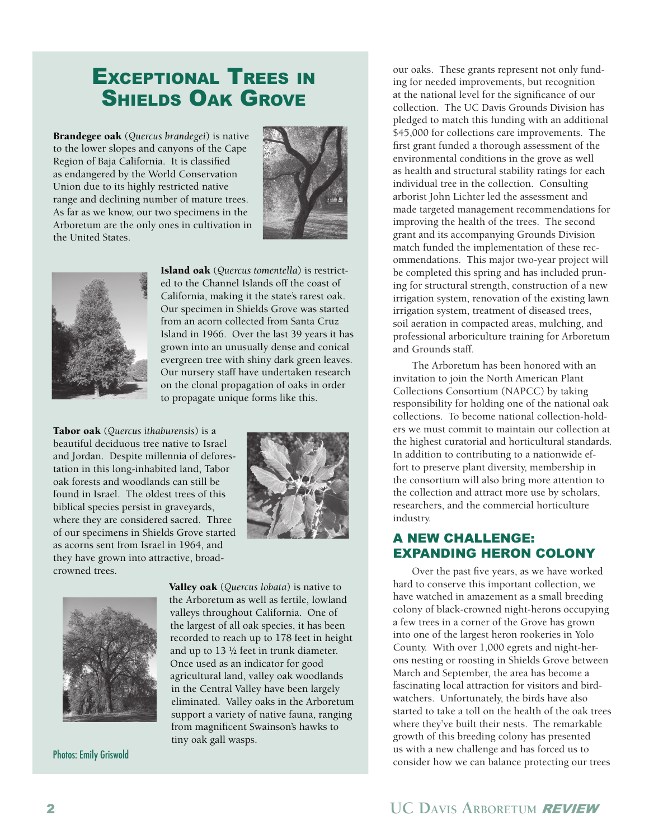### EXCEPTIONAL TREES IN SHIELDS OAK GROVE

Brandegee oak (*Quercus brandegei*) is native to the lower slopes and canyons of the Cape Region of Baja California. It is classified as endangered by the World Conservation Union due to its highly restricted native range and declining number of mature trees. As far as we know, our two specimens in the Arboretum are the only ones in cultivation in the United States.





Island oak (*Quercus tomentella*) is restricted to the Channel Islands off the coast of California, making it the state's rarest oak. Our specimen in Shields Grove was started from an acorn collected from Santa Cruz Island in 1966. Over the last 39 years it has grown into an unusually dense and conical evergreen tree with shiny dark green leaves. Our nursery staff have undertaken research on the clonal propagation of oaks in order to propagate unique forms like this.

Tabor oak (*Quercus ithaburensis*) is a beautiful deciduous tree native to Israel and Jordan. Despite millennia of deforestation in this long-inhabited land, Tabor oak forests and woodlands can still be found in Israel. The oldest trees of this biblical species persist in graveyards, where they are considered sacred. Three of our specimens in Shields Grove started as acorns sent from Israel in 1964, and they have grown into attractive, broadcrowned trees.





Photos: Emily Griswold

Valley oak (*Quercus lobata*) is native to the Arboretum as well as fertile, lowland valleys throughout California. One of the largest of all oak species, it has been recorded to reach up to 178 feet in height and up to 13 ½ feet in trunk diameter. Once used as an indicator for good agricultural land, valley oak woodlands in the Central Valley have been largely eliminated. Valley oaks in the Arboretum support a variety of native fauna, ranging from magnificent Swainson's hawks to tiny oak gall wasps.

our oaks. These grants represent not only funding for needed improvements, but recognition at the national level for the significance of our collection. The UC Davis Grounds Division has pledged to match this funding with an additional \$45,000 for collections care improvements. The first grant funded a thorough assessment of the environmental conditions in the grove as well as health and structural stability ratings for each individual tree in the collection. Consulting arborist John Lichter led the assessment and made targeted management recommendations for improving the health of the trees. The second grant and its accompanying Grounds Division match funded the implementation of these recommendations. This major two-year project will be completed this spring and has included pruning for structural strength, construction of a new irrigation system, renovation of the existing lawn irrigation system, treatment of diseased trees, soil aeration in compacted areas, mulching, and professional arboriculture training for Arboretum and Grounds staff.

The Arboretum has been honored with an invitation to join the North American Plant Collections Consortium (NAPCC) by taking responsibility for holding one of the national oak collections. To become national collection-holders we must commit to maintain our collection at the highest curatorial and horticultural standards. In addition to contributing to a nationwide effort to preserve plant diversity, membership in the consortium will also bring more attention to the collection and attract more use by scholars, researchers, and the commercial horticulture industry.

#### A NEW CHALLENGE: EXPANDING HERON COLONY

Over the past five years, as we have worked hard to conserve this important collection, we have watched in amazement as a small breeding colony of black-crowned night-herons occupying a few trees in a corner of the Grove has grown into one of the largest heron rookeries in Yolo County. With over 1,000 egrets and night-herons nesting or roosting in Shields Grove between March and September, the area has become a fascinating local attraction for visitors and birdwatchers. Unfortunately, the birds have also started to take a toll on the health of the oak trees where they've built their nests. The remarkable growth of this breeding colony has presented us with a new challenge and has forced us to consider how we can balance protecting our trees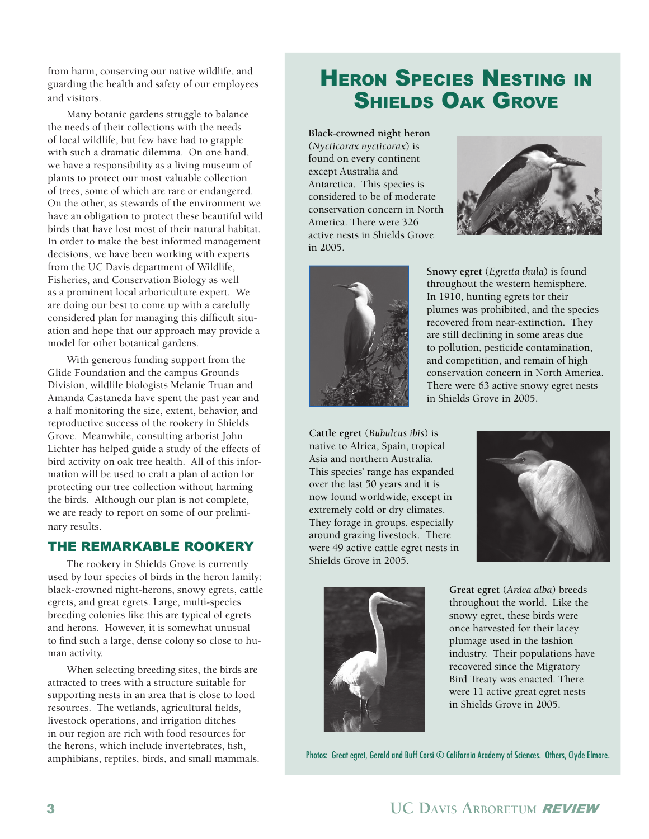from harm, conserving our native wildlife, and guarding the health and safety of our employees and visitors.

Many botanic gardens struggle to balance the needs of their collections with the needs of local wildlife, but few have had to grapple with such a dramatic dilemma. On one hand, we have a responsibility as a living museum of plants to protect our most valuable collection of trees, some of which are rare or endangered. On the other, as stewards of the environment we have an obligation to protect these beautiful wild birds that have lost most of their natural habitat. In order to make the best informed management decisions, we have been working with experts from the UC Davis department of Wildlife, Fisheries, and Conservation Biology as well as a prominent local arboriculture expert. We are doing our best to come up with a carefully considered plan for managing this difficult situation and hope that our approach may provide a model for other botanical gardens.

With generous funding support from the Glide Foundation and the campus Grounds Division, wildlife biologists Melanie Truan and Amanda Castaneda have spent the past year and a half monitoring the size, extent, behavior, and reproductive success of the rookery in Shields Grove. Meanwhile, consulting arborist John Lichter has helped guide a study of the effects of bird activity on oak tree health. All of this information will be used to craft a plan of action for protecting our tree collection without harming the birds. Although our plan is not complete, we are ready to report on some of our preliminary results.

#### THE REMARKABLE ROOKERY

The rookery in Shields Grove is currently used by four species of birds in the heron family: black-crowned night-herons, snowy egrets, cattle egrets, and great egrets. Large, multi-species breeding colonies like this are typical of egrets and herons. However, it is somewhat unusual to find such a large, dense colony so close to human activity.

When selecting breeding sites, the birds are attracted to trees with a structure suitable for supporting nests in an area that is close to food resources. The wetlands, agricultural fields, livestock operations, and irrigation ditches in our region are rich with food resources for the herons, which include invertebrates, fish, amphibians, reptiles, birds, and small mammals.

## **HERON SPECIES NESTING IN** SHIELDS OAK GROVE

**Black-crowned night heron**  (*Nycticorax nycticorax*) is found on every continent except Australia and Antarctica. This species is considered to be of moderate conservation concern in North America. There were 326 active nests in Shields Grove in 2005.





**Snowy egret** (*Egretta thula*) is found throughout the western hemisphere. In 1910, hunting egrets for their plumes was prohibited, and the species recovered from near-extinction. They are still declining in some areas due to pollution, pesticide contamination, and competition, and remain of high conservation concern in North America. There were 63 active snowy egret nests in Shields Grove in 2005.

**Cattle egret** (*Bubulcus ibis*) is native to Africa, Spain, tropical Asia and northern Australia. This species' range has expanded over the last 50 years and it is now found worldwide, except in extremely cold or dry climates. They forage in groups, especially around grazing livestock. There were 49 active cattle egret nests in Shields Grove in 2005.





**Great egret** (*Ardea alba*) breeds throughout the world. Like the snowy egret, these birds were once harvested for their lacey plumage used in the fashion industry. Their populations have recovered since the Migratory Bird Treaty was enacted. There were 11 active great egret nests in Shields Grove in 2005.

Photos: Great egret, Gerald and Buff Corsi  $\odot$  California Academy of Sciences. Others, Clyde Elmore.